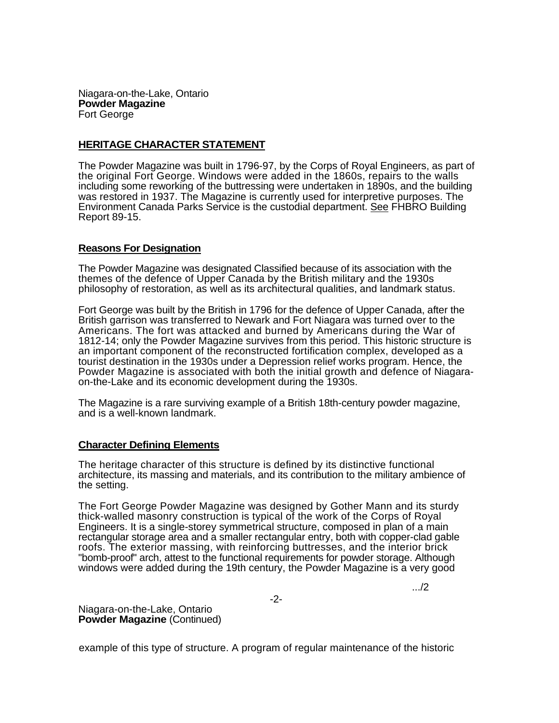Niagara-on-the-Lake, Ontario **Powder Magazine**  Fort George

## **HERITAGE CHARACTER STATEMENT**

The Powder Magazine was built in 1796-97, by the Corps of Royal Engineers, as part of the original Fort George. Windows were added in the 1860s, repairs to the walls including some reworking of the buttressing were undertaken in 1890s, and the building was restored in 1937. The Magazine is currently used for interpretive purposes. The Environment Canada Parks Service is the custodial department. See FHBRO Building Report 89-15.

## **Reasons For Designation**

The Powder Magazine was designated Classified because of its association with the themes of the defence of Upper Canada by the British military and the 1930s philosophy of restoration, as well as its architectural qualities, and landmark status.

Fort George was built by the British in 1796 for the defence of Upper Canada, after the British garrison was transferred to Newark and Fort Niagara was turned over to the Americans. The fort was attacked and burned by Americans during the War of 1812-14; only the Powder Magazine survives from this period. This historic structure is an important component of the reconstructed fortification complex, developed as a tourist destination in the 1930s under a Depression relief works program. Hence, the Powder Magazine is associated with both the initial growth and defence of Niagaraon-the-Lake and its economic development during the 1930s.

The Magazine is a rare surviving example of a British 18th-century powder magazine, and is a well-known landmark.

## **Character Defining Elements**

The heritage character of this structure is defined by its distinctive functional architecture, its massing and materials, and its contribution to the military ambience of the setting.

The Fort George Powder Magazine was designed by Gother Mann and its sturdy thick-walled masonry construction is typical of the work of the Corps of Royal Engineers. It is a single-storey symmetrical structure, composed in plan of a main rectangular storage area and a smaller rectangular entry, both with copper-clad gable roofs. The exterior massing, with reinforcing buttresses, and the interior brick "bomb-proof" arch, attest to the functional requirements for powder storage. Although windows were added during the 19th century, the Powder Magazine is a very good

-2-

.../2

Niagara-on-the-Lake, Ontario **Powder Magazine** (Continued)

example of this type of structure. A program of regular maintenance of the historic